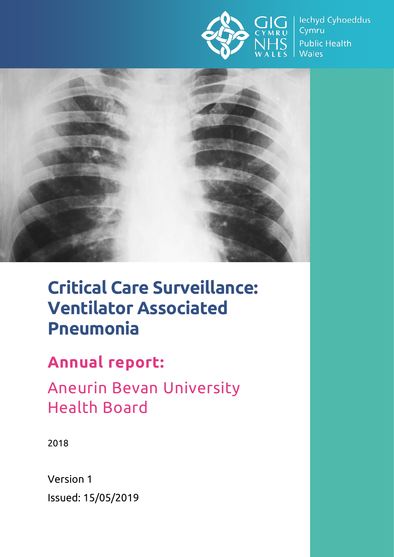

lechyd Cyhoeddus Cymru **Public Health Wales** 



# **Critical Care Surveillance: Ventilator Associated Pneumonia**

## **Annual report:**

Aneurin Bevan University Health Board

2018

Version 1 Issued: 15/05/2019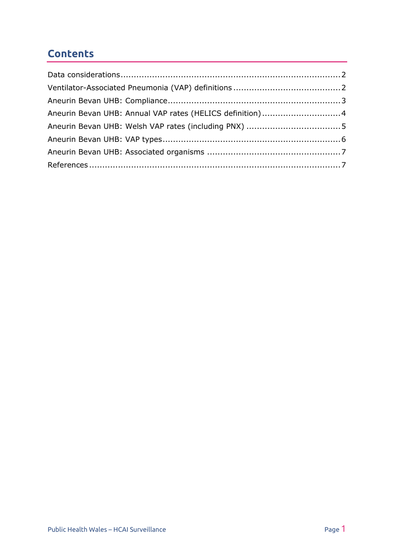#### **Contents**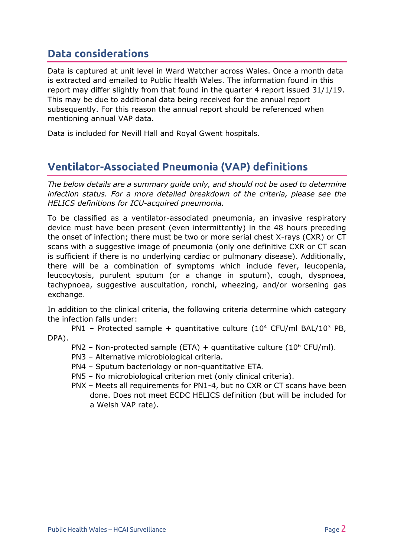#### <span id="page-2-0"></span>**Data considerations**

Data is captured at unit level in Ward Watcher across Wales. Once a month data is extracted and emailed to Public Health Wales. The information found in this report may differ slightly from that found in the quarter 4 report issued 31/1/19. This may be due to additional data being received for the annual report subsequently. For this reason the annual report should be referenced when mentioning annual VAP data.

Data is included for Nevill Hall and Royal Gwent hospitals.

### <span id="page-2-1"></span>**Ventilator-Associated Pneumonia (VAP) definitions**

*The below details are a summary guide only, and should not be used to determine infection status. For a more detailed breakdown of the criteria, please see the HELICS definitions for ICU-acquired pneumonia.*

To be classified as a ventilator-associated pneumonia, an invasive respiratory device must have been present (even intermittently) in the 48 hours preceding the onset of infection; there must be two or more serial chest X-rays (CXR) or CT scans with a suggestive image of pneumonia (only one definitive CXR or CT scan is sufficient if there is no underlying cardiac or pulmonary disease). Additionally, there will be a combination of symptoms which include fever, leucopenia, leucocytosis, purulent sputum (or a change in sputum), cough, dyspnoea, tachypnoea, suggestive auscultation, ronchi, wheezing, and/or worsening gas exchange.

In addition to the clinical criteria, the following criteria determine which category the infection falls under:

PN1 – Protected sample + quantitative culture (10<sup>4</sup> CFU/ml BAL/10<sup>3</sup> PB, DPA).

- PN2 Non-protected sample (ETA) + quantitative culture ( $10^6$  CFU/ml).
- PN3 Alternative microbiological criteria.
- PN4 Sputum bacteriology or non-quantitative ETA.
- PN5 No microbiological criterion met (only clinical criteria).
- PNX Meets all requirements for PN1-4, but no CXR or CT scans have been done. Does not meet ECDC HELICS definition (but will be included for a Welsh VAP rate).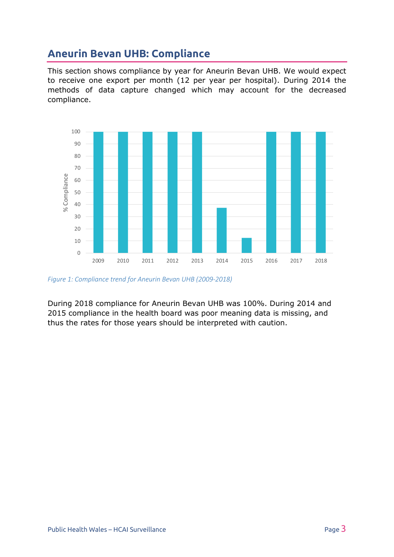### <span id="page-3-0"></span>**Aneurin Bevan UHB: Compliance**

This section shows compliance by year for Aneurin Bevan UHB. We would expect to receive one export per month (12 per year per hospital). During 2014 the methods of data capture changed which may account for the decreased compliance.



*Figure 1: Compliance trend for Aneurin Bevan UHB (2009-2018)*

During 2018 compliance for Aneurin Bevan UHB was 100%. During 2014 and 2015 compliance in the health board was poor meaning data is missing, and thus the rates for those years should be interpreted with caution.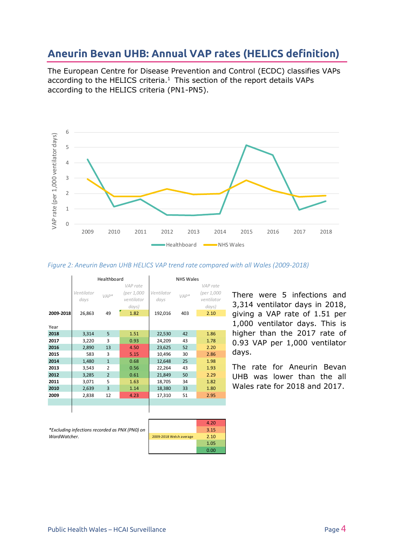#### <span id="page-4-0"></span>**Aneurin Bevan UHB: Annual VAP rates (HELICS definition)**

The European Centre for Disease Prevention and Control (ECDC) classifies VAPs according to the HELICS criteria. $1$  This section of the report details VAPs according to the HELICS criteria (PN1-PN5).





|           | Healthboard                  |                |                                                       | <b>NHS Wales</b>              |               |                                                       |
|-----------|------------------------------|----------------|-------------------------------------------------------|-------------------------------|---------------|-------------------------------------------------------|
| 2009-2018 | Ventilator<br>days<br>26,863 | $VAP*$<br>49   | VAP rate<br>(per 1,000<br>ventilator<br>days)<br>1.82 | Ventilator<br>days<br>192,016 | $VAP*$<br>403 | VAP rate<br>(per 1,000<br>ventilator<br>days)<br>2.10 |
| Year      |                              |                |                                                       |                               |               |                                                       |
| 2018      | 3,314                        | 5              | 1.51                                                  | 22,530                        | 42            | 1.86                                                  |
| 2017      | 3,220                        | 3              | 0.93                                                  | 24,209                        | 43            | 1.78                                                  |
| 2016      | 2,890                        | 13             | 4.50                                                  | 23,625                        | 52            | 2.20                                                  |
| 2015      | 583                          | 3              | 5.15                                                  | 10,496                        | 30            | 2.86                                                  |
| 2014      | 1,480                        | $\mathbf{1}$   | 0.68                                                  | 12,648                        | 25            | 1.98                                                  |
| 2013      | 3,543                        | $\overline{2}$ | 0.56                                                  | 22,264                        | 43            | 1.93                                                  |
| 2012      | 3,285                        | $\overline{2}$ | 0.61                                                  | 21,849                        | 50            | 2.29                                                  |
| 2011      | 3,071                        | 5              | 1.63                                                  | 18,705                        | 34            | 1.82                                                  |
| 2010      | 2,639                        | $\overline{3}$ | 1.14                                                  | 18,380                        | 33            | 1.80                                                  |
| 2009      | 2,838                        | 12             | 4.23                                                  | 17,310                        | 51            | 2.95                                                  |
|           |                              |                |                                                       |                               |               |                                                       |
|           |                              |                |                                                       |                               |               |                                                       |

There were 5 infections and 3,314 ventilator days in 2018, giving a VAP rate of 1.51 per 1,000 ventilator days. This is higher than the 2017 rate of 0.93 VAP per 1,000 ventilator days.

The rate for Aneurin Bevan UHB was lower than the all Wales rate for 2018 and 2017.

*\*Excluding infections recorded as PNX (PN0) on WardWatcher.*

|                         | 4.20 |
|-------------------------|------|
|                         | 3.15 |
| 2009-2018 Welsh average | 2.10 |
|                         | 1.05 |
|                         | 0.00 |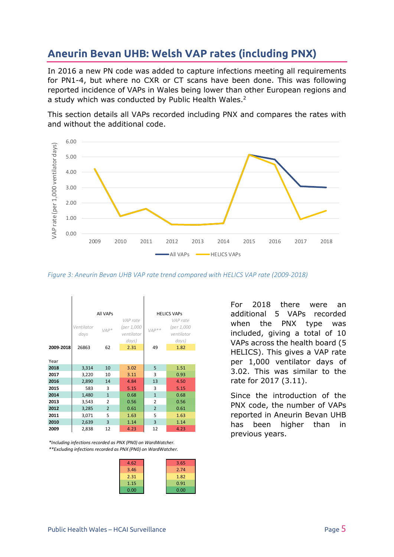### <span id="page-5-0"></span>**Aneurin Bevan UHB: Welsh VAP rates (including PNX)**

In 2016 a new PN code was added to capture infections meeting all requirements for PN1-4, but where no CXR or CT scans have been done. This was following reported incidence of VAPs in Wales being lower than other European regions and a study which was conducted by Public Health Wales.<sup>2</sup>

This section details all VAPs recorded including PNX and compares the rates with and without the additional code.



*Figure 3: Aneurin Bevan UHB VAP rate trend compared with HELICS VAP rate (2009-2018)*

|           |                    | All VAPs       | <b>HELICS VAPS</b>                            |                |                                               |
|-----------|--------------------|----------------|-----------------------------------------------|----------------|-----------------------------------------------|
|           | Ventilator<br>days | $VAP*$         | VAP rate<br>(per 1,000<br>ventilator<br>days) | $VAP**$        | VAP rate<br>(per 1,000<br>ventilator<br>days) |
| 2009-2018 | 26863              | 62             | 2.31                                          | 49             | 1.82                                          |
| Year      |                    |                |                                               |                |                                               |
| 2018      | 3,314              | 10             | 3.02                                          | 5              | 1.51                                          |
| 2017      | 3,220              | 10             | 3.11                                          | 3              | 0.93                                          |
| 2016      | 2,890              | 14             | 4.84                                          | 13             | 4.50                                          |
| 2015      | 583                | 3              | 5.15                                          | 3              | 5.15                                          |
| 2014      | 1,480              | $\mathbf{1}$   | 0.68                                          | $\mathbf{1}$   | 0.68                                          |
| 2013      | 3,543              | 2              | 0.56                                          | 2              | 0.56                                          |
| 2012      | 3,285              | $\overline{2}$ | 0.61                                          | $\overline{2}$ | 0.61                                          |
| 2011      | 3,071              | 5              | 1.63                                          | 5              | 1.63                                          |
| 2010      | 2,639              | 3              | 1.14                                          | 3              | 1.14                                          |
| 2009      | 2,838              | 12             | 4.23                                          | 12             | 4.23                                          |

*\*\*Excluding infections recorded as PNX (PN0) on WardWatcher. \*Including infections recorded as PNX (PN0) on WardWatcher.*

| 4.62 | 3.65 |
|------|------|
| 3.46 | 2.74 |
| 2.31 | 1.82 |
| 1.15 | 0.91 |
| 0.00 | 0.00 |
|      |      |

For 2018 there were an additional 5 VAPs recorded when the PNX type was included, giving a total of 10 VAPs across the health board (5 HELICS). This gives a VAP rate per 1,000 ventilator days of 3.02. This was similar to the rate for 2017 (3.11).

Since the introduction of the PNX code, the number of VAPs reported in Aneurin Bevan UHB has been higher than in previous years.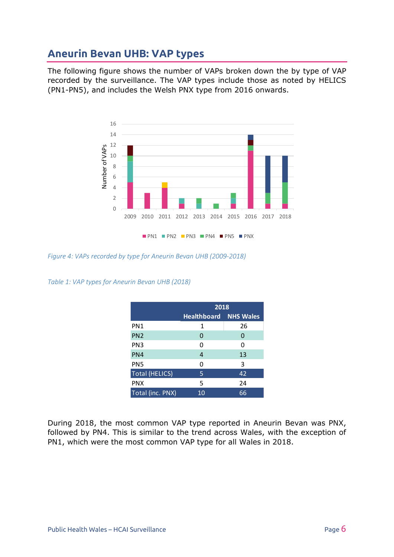#### <span id="page-6-0"></span>**Aneurin Bevan UHB: VAP types**

The following figure shows the number of VAPs broken down the by type of VAP recorded by the surveillance. The VAP types include those as noted by HELICS (PN1-PN5), and includes the Welsh PNX type from 2016 onwards.



*Figure 4: VAPs recorded by type for Aneurin Bevan UHB (2009-2018)*

*Table 1: VAP types for Aneurin Bevan UHB (2018)*

|                       | 2018                         |    |  |
|-----------------------|------------------------------|----|--|
|                       | <b>Healthboard NHS Wales</b> |    |  |
| PN <sub>1</sub>       | 1                            | 26 |  |
| PN <sub>2</sub>       | 0                            | 0  |  |
| PN <sub>3</sub>       | 0                            | 0  |  |
| PN4                   | 4                            | 13 |  |
| PN <sub>5</sub>       | 0                            | 3  |  |
| <b>Total (HELICS)</b> | 5                            | 42 |  |
| <b>PNX</b>            | 5                            | 24 |  |
| Total (inc. PNX)      | 10                           | 66 |  |

During 2018, the most common VAP type reported in Aneurin Bevan was PNX, followed by PN4. This is similar to the trend across Wales, with the exception of PN1, which were the most common VAP type for all Wales in 2018.